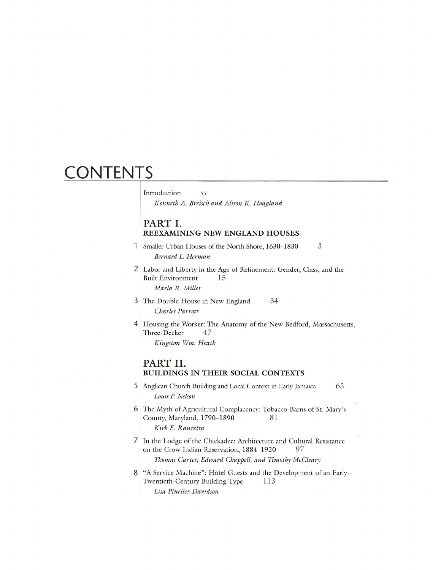# **CONTENTS**

## Introduction xv

*Kenneth A. Breisch and Alison* K. *Hoagland*

# **PART I. REEXAMINING NEW ENGLAND HOUSES**

- $\mathbf{1}$ Smaller Urban Houses of the North Shore, 1630-1830  $\mathfrak{Z}$ *Bernard L. Herman*
- 2 Labor and Liberty in the Age of Refinement: Gender, Class, and the Built Environment 15 *Marla* R. *Miller*
- 3 The Double House in New England 34 *Charles Parrott*
- 4 Housing the Worker: The Anatomy of the New Bedford, Massachusetts, Three-Decker 47

*Kingston Wm. Heath*

#### **PART II. BUILDINGS IN THEIR SOCIAL CONTEXTS**

- 5 Anglican Church Building and Local Context in Early Jamaica 63 *Louis P Nelson*
- 6 The Myth of Agricultural Complacency: Tobacco Barns of St. Mary's County, Maryland, 1790-1890 81 *Kirk* E. *Ranzetta*
- 7 In the Lodge of the Chickadee: Architecture and Cultural Resistance on the Crow Indian Reservation, 1884-1920 97 *Thomas Carter, Edward Chappell, and Timothy McCleary*
- 8 "A Service Machine": Hotel Guests and the Development of an Early-Twentieth-Century Building Type 113 *Lisa Pi tteller Davidson*